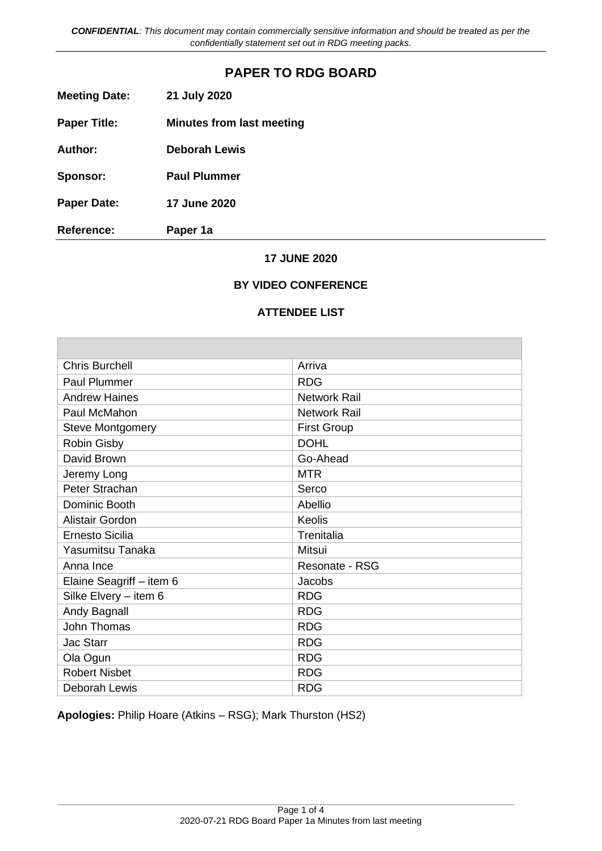# **PAPER TO RDG BOARD**

| <b>Meeting Date:</b> | 21 July 2020 |
|----------------------|--------------|
|----------------------|--------------|

**Paper Title: Minutes from last meeting** 

**Author: Deborah Lewis** 

**Sponsor: Paul Plummer** 

**Paper Date: 17 June 2020** 

**Reference: Paper 1a** 

### **17 JUNE 2020**

### **BY VIDEO CONFERENCE**

#### **ATTENDEE LIST**

| <b>Chris Burchell</b>    | Arriva                |
|--------------------------|-----------------------|
| <b>Paul Plummer</b>      | <b>RDG</b>            |
| <b>Andrew Haines</b>     | <b>Network Rail</b>   |
| Paul McMahon             | <b>Network Rail</b>   |
| <b>Steve Montgomery</b>  | <b>First Group</b>    |
| <b>Robin Gisby</b>       | <b>DOHL</b>           |
| David Brown              | Go-Ahead              |
| Jeremy Long              | <b>MTR</b>            |
| Peter Strachan           | Serco                 |
| Dominic Booth            | Abellio               |
| Alistair Gordon          | Keolis                |
| <b>Ernesto Sicilia</b>   | Trenitalia            |
| Yasumitsu Tanaka         | Mitsui                |
| Anna Ince                | <b>Resonate - RSG</b> |
| Elaine Seagriff - item 6 | Jacobs                |
| Silke Elvery - item 6    | <b>RDG</b>            |
| Andy Bagnall             | <b>RDG</b>            |
| John Thomas              | <b>RDG</b>            |
| Jac Starr                | <b>RDG</b>            |
| Ola Ogun                 | <b>RDG</b>            |
| <b>Robert Nisbet</b>     | <b>RDG</b>            |
| Deborah Lewis            | <b>RDG</b>            |

**Apologies:** Philip Hoare (Atkins – RSG); Mark Thurston (HS2)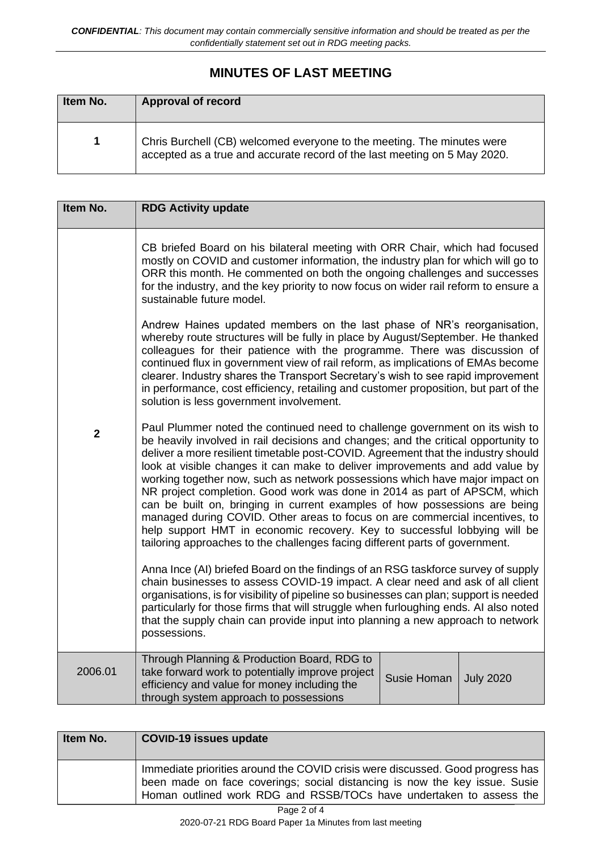# **MINUTES OF LAST MEETING**

| Item No. | <b>Approval of record</b>                                                                                                                           |
|----------|-----------------------------------------------------------------------------------------------------------------------------------------------------|
|          | Chris Burchell (CB) welcomed everyone to the meeting. The minutes were<br>accepted as a true and accurate record of the last meeting on 5 May 2020. |

| Item No.    | <b>RDG Activity update</b>                                                                                                                                                                                                                                                                                                                                                                                                                                                                                                                                                                                                                                                                                                                                                                                                                                                                                                                                                                                                                                                                                                                                                                                                                                                 |
|-------------|----------------------------------------------------------------------------------------------------------------------------------------------------------------------------------------------------------------------------------------------------------------------------------------------------------------------------------------------------------------------------------------------------------------------------------------------------------------------------------------------------------------------------------------------------------------------------------------------------------------------------------------------------------------------------------------------------------------------------------------------------------------------------------------------------------------------------------------------------------------------------------------------------------------------------------------------------------------------------------------------------------------------------------------------------------------------------------------------------------------------------------------------------------------------------------------------------------------------------------------------------------------------------|
|             | CB briefed Board on his bilateral meeting with ORR Chair, which had focused<br>mostly on COVID and customer information, the industry plan for which will go to<br>ORR this month. He commented on both the ongoing challenges and successes<br>for the industry, and the key priority to now focus on wider rail reform to ensure a<br>sustainable future model.                                                                                                                                                                                                                                                                                                                                                                                                                                                                                                                                                                                                                                                                                                                                                                                                                                                                                                          |
|             | Andrew Haines updated members on the last phase of NR's reorganisation,<br>whereby route structures will be fully in place by August/September. He thanked<br>colleagues for their patience with the programme. There was discussion of<br>continued flux in government view of rail reform, as implications of EMAs become<br>clearer. Industry shares the Transport Secretary's wish to see rapid improvement<br>in performance, cost efficiency, retailing and customer proposition, but part of the<br>solution is less government involvement.                                                                                                                                                                                                                                                                                                                                                                                                                                                                                                                                                                                                                                                                                                                        |
| $\mathbf 2$ | Paul Plummer noted the continued need to challenge government on its wish to<br>be heavily involved in rail decisions and changes; and the critical opportunity to<br>deliver a more resilient timetable post-COVID. Agreement that the industry should<br>look at visible changes it can make to deliver improvements and add value by<br>working together now, such as network possessions which have major impact on<br>NR project completion. Good work was done in 2014 as part of APSCM, which<br>can be built on, bringing in current examples of how possessions are being<br>managed during COVID. Other areas to focus on are commercial incentives, to<br>help support HMT in economic recovery. Key to successful lobbying will be<br>tailoring approaches to the challenges facing different parts of government.<br>Anna Ince (AI) briefed Board on the findings of an RSG taskforce survey of supply<br>chain businesses to assess COVID-19 impact. A clear need and ask of all client<br>organisations, is for visibility of pipeline so businesses can plan; support is needed<br>particularly for those firms that will struggle when furloughing ends. AI also noted<br>that the supply chain can provide input into planning a new approach to network |
|             | possessions.                                                                                                                                                                                                                                                                                                                                                                                                                                                                                                                                                                                                                                                                                                                                                                                                                                                                                                                                                                                                                                                                                                                                                                                                                                                               |
| 2006.01     | Through Planning & Production Board, RDG to<br>take forward work to potentially improve project<br><b>Susie Homan</b><br><b>July 2020</b><br>efficiency and value for money including the<br>through system approach to possessions                                                                                                                                                                                                                                                                                                                                                                                                                                                                                                                                                                                                                                                                                                                                                                                                                                                                                                                                                                                                                                        |

| Item No. | <b>COVID-19 issues update</b>                                                                                                                                                                                                       |
|----------|-------------------------------------------------------------------------------------------------------------------------------------------------------------------------------------------------------------------------------------|
|          | Immediate priorities around the COVID crisis were discussed. Good progress has<br>been made on face coverings; social distancing is now the key issue. Susie<br>Homan outlined work RDG and RSSB/TOCs have undertaken to assess the |
|          | $D = -0$                                                                                                                                                                                                                            |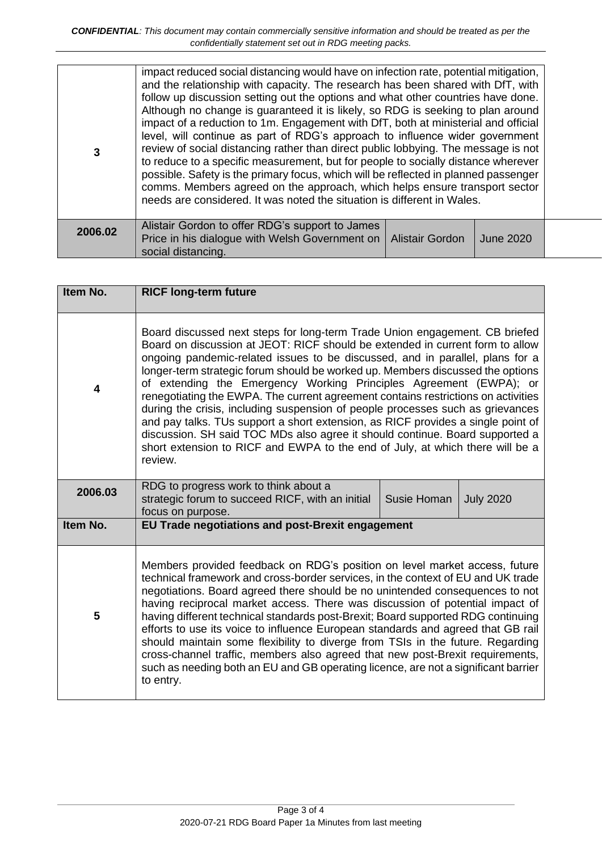| 3       | impact reduced social distancing would have on infection rate, potential mitigation,<br>and the relationship with capacity. The research has been shared with DfT, with<br>follow up discussion setting out the options and what other countries have done.<br>Although no change is guaranteed it is likely, so RDG is seeking to plan around<br>impact of a reduction to 1m. Engagement with DfT, both at ministerial and official<br>level, will continue as part of RDG's approach to influence wider government<br>review of social distancing rather than direct public lobbying. The message is not<br>to reduce to a specific measurement, but for people to socially distance wherever<br>possible. Safety is the primary focus, which will be reflected in planned passenger<br>comms. Members agreed on the approach, which helps ensure transport sector<br>needs are considered. It was noted the situation is different in Wales. |                 |           |  |
|---------|-------------------------------------------------------------------------------------------------------------------------------------------------------------------------------------------------------------------------------------------------------------------------------------------------------------------------------------------------------------------------------------------------------------------------------------------------------------------------------------------------------------------------------------------------------------------------------------------------------------------------------------------------------------------------------------------------------------------------------------------------------------------------------------------------------------------------------------------------------------------------------------------------------------------------------------------------|-----------------|-----------|--|
| 2006.02 | Alistair Gordon to offer RDG's support to James<br>Price in his dialogue with Welsh Government on<br>social distancing.                                                                                                                                                                                                                                                                                                                                                                                                                                                                                                                                                                                                                                                                                                                                                                                                                         | Alistair Gordon | June 2020 |  |

| Item No. | <b>RICF long-term future</b>                                                                                                                                                                                                                                                                                                                                                                                                                                                                                                                                                                                                                                                                                                                                                                                                                 |
|----------|----------------------------------------------------------------------------------------------------------------------------------------------------------------------------------------------------------------------------------------------------------------------------------------------------------------------------------------------------------------------------------------------------------------------------------------------------------------------------------------------------------------------------------------------------------------------------------------------------------------------------------------------------------------------------------------------------------------------------------------------------------------------------------------------------------------------------------------------|
| 4        | Board discussed next steps for long-term Trade Union engagement. CB briefed<br>Board on discussion at JEOT: RICF should be extended in current form to allow<br>ongoing pandemic-related issues to be discussed, and in parallel, plans for a<br>longer-term strategic forum should be worked up. Members discussed the options<br>of extending the Emergency Working Principles Agreement (EWPA); or<br>renegotiating the EWPA. The current agreement contains restrictions on activities<br>during the crisis, including suspension of people processes such as grievances<br>and pay talks. TUs support a short extension, as RICF provides a single point of<br>discussion. SH said TOC MDs also agree it should continue. Board supported a<br>short extension to RICF and EWPA to the end of July, at which there will be a<br>review. |
| 2006.03  | RDG to progress work to think about a<br>strategic forum to succeed RICF, with an initial<br>Susie Homan<br><b>July 2020</b><br>focus on purpose.                                                                                                                                                                                                                                                                                                                                                                                                                                                                                                                                                                                                                                                                                            |
| Item No. | EU Trade negotiations and post-Brexit engagement                                                                                                                                                                                                                                                                                                                                                                                                                                                                                                                                                                                                                                                                                                                                                                                             |
| 5        | Members provided feedback on RDG's position on level market access, future<br>technical framework and cross-border services, in the context of EU and UK trade<br>negotiations. Board agreed there should be no unintended consequences to not<br>having reciprocal market access. There was discussion of potential impact of<br>having different technical standards post-Brexit; Board supported RDG continuing<br>efforts to use its voice to influence European standards and agreed that GB rail<br>should maintain some flexibility to diverge from TSIs in the future. Regarding<br>cross-channel traffic, members also agreed that new post-Brexit requirements,<br>such as needing both an EU and GB operating licence, are not a significant barrier<br>to entry.                                                                 |